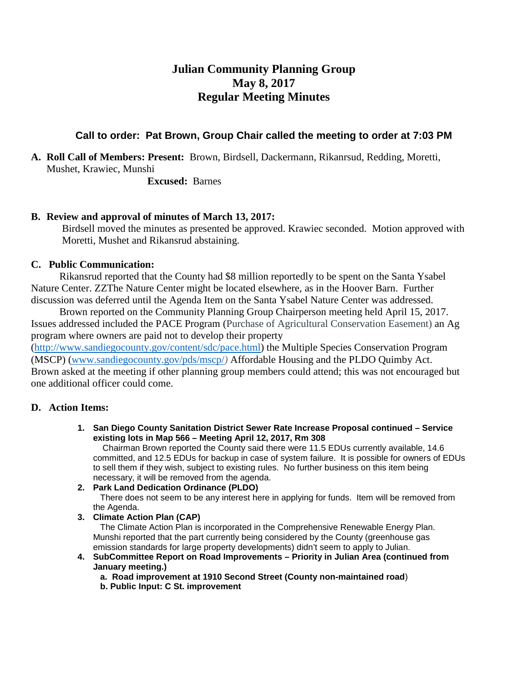# **Julian Community Planning Group May 8, 2017 Regular Meeting Minutes**

## **Call to order: Pat Brown, Group Chair called the meeting to order at 7:03 PM**

**A. Roll Call of Members: Present:** Brown, Birdsell, Dackermann, Rikanrsud, Redding, Moretti, Mushet, Krawiec, Munshi

**Excused:** Barnes

## **B. Review and approval of minutes of March 13, 2017:**

Birdsell moved the minutes as presented be approved. Krawiec seconded. Motion approved with Moretti, Mushet and Rikansrud abstaining.

## **C. Public Communication:**

 Rikansrud reported that the County had \$8 million reportedly to be spent on the Santa Ysabel Nature Center. ZZThe Nature Center might be located elsewhere, as in the Hoover Barn. Further discussion was deferred until the Agenda Item on the Santa Ysabel Nature Center was addressed.

 Brown reported on the Community Planning Group Chairperson meeting held April 15, 2017. Issues addressed included the PACE Program (Purchase of Agricultural Conservation Easement) an Ag program where owners are paid not to develop their property

[\(http://www.sandiegocounty.gov/content/sdc/pace.html\)](http://www.sandiegocounty.gov/content/sdc/pace.html) the Multiple Species Conservation Program (MSCP) [\(www.sandiegocounty.gov/pds/mscp/](http://www.sandiegocounty.gov/pds/mscp/)*)* Affordable Housing and the PLDO Quimby Act. Brown asked at the meeting if other planning group members could attend; this was not encouraged but one additional officer could come.

## **D. Action Items:**

**1. San Diego County Sanitation District Sewer Rate Increase Proposal continued – Service existing lots in Map 566 – Meeting April 12, 2017, Rm 308** 

 Chairman Brown reported the County said there were 11.5 EDUs currently available, 14.6 committed, and 12.5 EDUs for backup in case of system failure. It is possible for owners of EDUs to sell them if they wish, subject to existing rules. No further business on this item being necessary, it will be removed from the agenda.

## **2. Park Land Dedication Ordinance (PLDO)**

 There does not seem to be any interest here in applying for funds. Item will be removed from the Agenda.

**3. Climate Action Plan (CAP)** 

 The Climate Action Plan is incorporated in the Comprehensive Renewable Energy Plan. Munshi reported that the part currently being considered by the County (greenhouse gas emission standards for large property developments) didn't seem to apply to Julian.

- **4. SubCommittee Report on Road Improvements – Priority in Julian Area (continued from January meeting.)**
	- **a. Road improvement at 1910 Second Street (County non-maintained road**)
	- **b. Public Input: C St. improvement**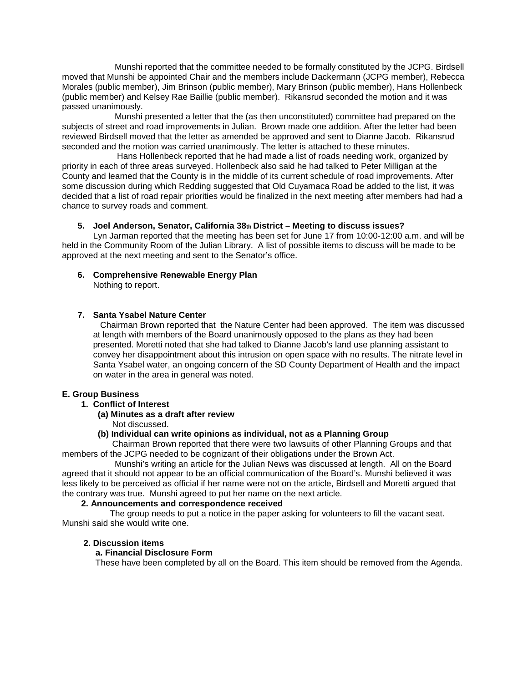Munshi reported that the committee needed to be formally constituted by the JCPG. Birdsell moved that Munshi be appointed Chair and the members include Dackermann (JCPG member), Rebecca Morales (public member), Jim Brinson (public member), Mary Brinson (public member), Hans Hollenbeck (public member) and Kelsey Rae Baillie (public member). Rikansrud seconded the motion and it was passed unanimously.

 Munshi presented a letter that the (as then unconstituted) committee had prepared on the subjects of street and road improvements in Julian. Brown made one addition. After the letter had been reviewed Birdsell moved that the letter as amended be approved and sent to Dianne Jacob. Rikansrud seconded and the motion was carried unanimously. The letter is attached to these minutes.

 Hans Hollenbeck reported that he had made a list of roads needing work, organized by priority in each of three areas surveyed. Hollenbeck also said he had talked to Peter Milligan at the County and learned that the County is in the middle of its current schedule of road improvements. After some discussion during which Redding suggested that Old Cuyamaca Road be added to the list, it was decided that a list of road repair priorities would be finalized in the next meeting after members had had a chance to survey roads and comment.

#### **5. Joel Anderson, Senator, California 38th District – Meeting to discuss issues?**

 Lyn Jarman reported that the meeting has been set for June 17 from 10:00-12:00 a.m. and will be held in the Community Room of the Julian Library. A list of possible items to discuss will be made to be approved at the next meeting and sent to the Senator's office.

#### **6. Comprehensive Renewable Energy Plan**

Nothing to report.

#### **7. Santa Ysabel Nature Center**

 Chairman Brown reported that the Nature Center had been approved. The item was discussed at length with members of the Board unanimously opposed to the plans as they had been presented. Moretti noted that she had talked to Dianne Jacob's land use planning assistant to convey her disappointment about this intrusion on open space with no results. The nitrate level in Santa Ysabel water, an ongoing concern of the SD County Department of Health and the impact on water in the area in general was noted.

#### **E. Group Business**

#### **1. Conflict of Interest**

- **(a) Minutes as a draft after review**
	- Not discussed.

#### **(b) Individual can write opinions as individual, not as a Planning Group**

Chairman Brown reported that there were two lawsuits of other Planning Groups and that members of the JCPG needed to be cognizant of their obligations under the Brown Act.

 Munshi's writing an article for the Julian News was discussed at length. All on the Board agreed that it should not appear to be an official communication of the Board's. Munshi believed it was less likely to be perceived as official if her name were not on the article, Birdsell and Moretti argued that the contrary was true. Munshi agreed to put her name on the next article.

#### **2. Announcements and correspondence received**

 The group needs to put a notice in the paper asking for volunteers to fill the vacant seat. Munshi said she would write one.

## **2. Discussion items**

#### **a. Financial Disclosure Form**

These have been completed by all on the Board. This item should be removed from the Agenda.